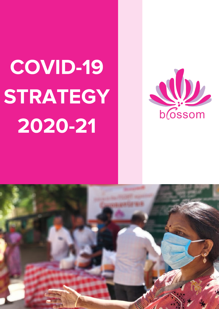# COVID-19 STRATEGY 2020-21



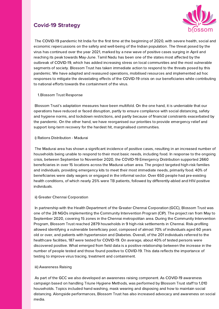The COVID-19 pandemic hit India for the first time at the beginning of 2020, with severe health, social and economic repercussions on the safety and well-being of the Indian population. The threat posed by the virus has continued over the year 2021, marked by a new wave of positive cases surging in April and reaching its peak towards May-June. Tamil Nadu has been one of the states most affected by the outbreak of COVID-19, which has added increasing stress on local communities and the most vulnerable segments of society. Blossom Trust has taken immediate action to respond to the threats posed by this pandemic. We have adapted and reassured operations, mobilised resources and implemented ad hoc responses to mitigate the devastating effects of the COVID-19 crisis on our beneficiaries while contributing to national efforts towards the containment of the virus.

## 1. Blossom Trust Response

Blossom Trust's adaptation measures have been multifold. On the one hand, it is undeniable that our operations have reduced or faced disruption, partly to ensure compliance with social distancing, safety and hygiene norms, and lockdown restrictions, and partly because of financial constraints exacerbated by the pandemic. On the other hand, we have reorganised our priorities to provide emergency relief and support long-term recovery for the hardest hit, marginalised communities.

### i) Rations Distribution - Madurai

The Madurai area has shown a significant incidence of positive cases, resulting in an increased number of households being unable to respond to their most basic needs, including food. In response to the ongoing crisis, between September to November 2020, the COVID-19 Emergency Distribution supported 2660 beneficiaries in over 15 locations across the Madurai urban area. The project targeted high-risk families and individuals, providing emergency kits to meet their most immediate needs, primarily food. 40% of beneficiaries were daily wagers or engaged in the informal sector. Over 650 people had pre-existing health conditions, of which nearly 25% were TB patients, followed by differently-abled and HIV-positive individuals.

#### ii) Greater Chennai Corporation

In partnership with the Health Department of the Greater Chennai Corporation (GCC), Blossom Trust was one of the 28 NGOs implementing the Community Intervention Program (CIP). The project ran from May to September 2020, covering 15 zones in the Chennai metropolitan area. During the Community Intervention Program, Blossom Trust reached 2879 households in 9 high-risk settlements in Chennai. Risk-profiling allowed identifying a vulnerable beneficiary pool, composed of almost 70% of individuals aged 60 years old or over, and patients with hypertension and Diabetes. Overall, of the 201 individuals referred to the healthcare facilities, 187 were tested for COVID-19. On average, about 40% of tested persons were discovered positive. What emerged from field data is a positive relationship between the increase in the number of people tested and those found positive to COVID-19. This data reflects the importance of testing to improve virus tracing, treatment and containment.

#### iii) Awareness Raising

As part of the GCC we also developed an awareness raising component. As COVID-19 awareness campaign based on handling Triune Hygiene Methods, was performed by Blossom Trust staff to 1,010 households. Topics included hand washing, mask wearing and disposing and how to maintain social distancing. Alongside performances, Blossom Trust has also increased advocacy and awareness on social media.

## Covid-19 Strategy